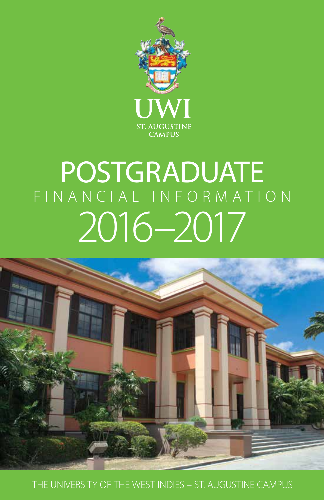

# POSTGRADUATE FINANCIAL INFORMATION 2016–2017



**1** THE UNIVERSITY OF THE WEST INDIES – ST. AUGUSTINE CAMPUS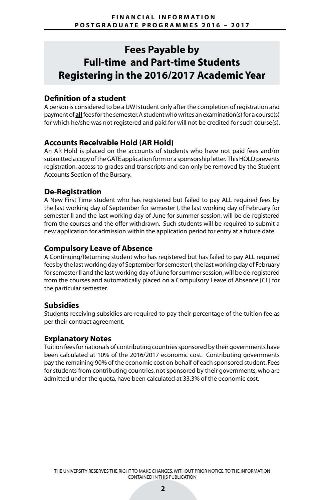# **Fees Payable by Full-time and Part-time Students Registering in the 2016/2017 Academic Year**

## **Definition of a student**

A person is considered to be a UWI student only after the completion of registration and payment of **all** fees for the semester. A student who writes an examination(s) for a course(s) for which he/she was not registered and paid for will not be credited for such course(s).

## **Accounts Receivable Hold (AR Hold)**

An AR Hold is placed on the accounts of students who have not paid fees and/or submitted a copy of the GATE application form or a sponsorship letter. This HOLD prevents registration, access to grades and transcripts and can only be removed by the Student Accounts Section of the Bursary.

## **De-Registration**

A New First Time student who has registered but failed to pay ALL required fees by the last working day of September for semester I, the last working day of February for semester II and the last working day of June for summer session, will be de-registered from the courses and the offer withdrawn. Such students will be required to submit a new application for admission within the application period for entry at a future date.

## **Compulsory Leave of Absence**

A Continuing/Returning student who has registered but has failed to pay ALL required fees by the last working day of September for semester I, the last working day of February for semester II and the last working day of June for summer session, will be de-registered from the courses and automatically placed on a Compulsory Leave of Absence [CL] for the particular semester.

## **Subsidies**

Students receiving subsidies are required to pay their percentage of the tuition fee as per their contract agreement.

## **Explanatory Notes**

Tuition fees for nationals of contributing countries sponsored by their governments have been calculated at 10% of the 2016/2017 economic cost. Contributing governments pay the remaining 90% of the economic cost on behalf of each sponsored student. Fees for students from contributing countries, not sponsored by their governments, who are admitted under the quota, have been calculated at 33.3% of the economic cost.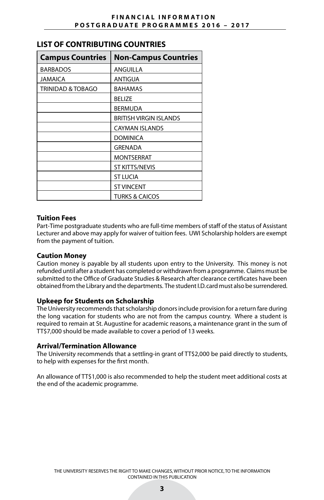|  | LIST OF CONTRIBUTING COUNTRIES |  |  |
|--|--------------------------------|--|--|
|--|--------------------------------|--|--|

| <b>Campus Countries</b> | <b>Non-Campus Countries</b>   |
|-------------------------|-------------------------------|
| <b>BARBADOS</b>         | <b>ANGUILLA</b>               |
| <b>JAMAICA</b>          | ANTIGUA                       |
| TRINIDAD & TOBAGO       | <b>BAHAMAS</b>                |
|                         | <b>BELIZE</b>                 |
|                         | <b>BERMUDA</b>                |
|                         | <b>BRITISH VIRGIN ISLANDS</b> |
|                         | <b>CAYMAN ISLANDS</b>         |
|                         | DOMINICA                      |
|                         | <b>GRENADA</b>                |
|                         | MONTSERRAT                    |
|                         | <b>ST KITTS/NEVIS</b>         |
|                         | <b>ST LUCIA</b>               |
|                         | <b>ST VINCENT</b>             |
|                         | TURKS & CAICOS                |

#### **Tuition Fees**

Part-Time postgraduate students who are full-time members of staff of the status of Assistant Lecturer and above may apply for waiver of tuition fees. UWI Scholarship holders are exempt from the payment of tuition.

#### **Caution Money**

Caution money is payable by all students upon entry to the University. This money is not refunded until after a student has completed or withdrawn from a programme. Claims must be submitted to the Office of Graduate Studies & Research after clearance certificates have been obtained from the Library and the departments. The student I.D. card must also be surrendered.

#### **Upkeep for Students on Scholarship**

The University recommends that scholarship donors include provision for a return fare during the long vacation for students who are not from the campus country. Where a student is required to remain at St. Augustine for academic reasons, a maintenance grant in the sum of TT\$7,000 should be made available to cover a period of 13 weeks.

#### **Arrival/Termination Allowance**

The University recommends that a settling-in grant of TT\$2,000 be paid directly to students, to help with expenses for the first month.

An allowance of TT\$1,000 is also recommended to help the student meet additional costs at the end of the academic programme.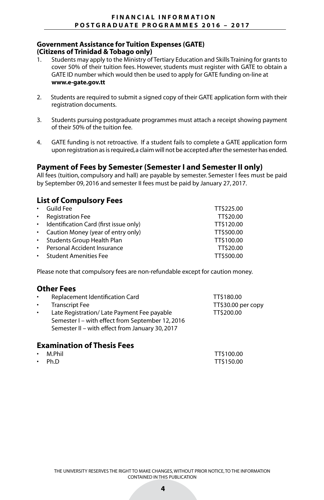#### **Government Assistance for Tuition Expenses (GATE) (Citizens of Trinidad & Tobago only)**

- 1. Students may apply to the Ministry of Tertiary Education and Skills Training for grants to cover 50% of their tuition fees. However, students must register with GATE to obtain a GATE ID number which would then be used to apply for GATE funding on-line at **www.e-gate.gov.tt**
- 2. Students are required to submit a signed copy of their GATE application form with their registration documents.
- 3. Students pursuing postgraduate programmes must attach a receipt showing payment of their 50% of the tuition fee.
- 4. GATE funding is not retroactive. If a student fails to complete a GATE application form upon registration as is required, a claim will not be accepted after the semester has ended.

## **Payment of Fees by Semester (Semester I and Semester II only)**

All fees (tuition, compulsory and hall) are payable by semester. Semester I fees must be paid by September 09, 2016 and semester II fees must be paid by January 27, 2017.

## **List of Compulsory Fees**

| $\bullet$ . | Guild Fee                                | TT\$225.00 |
|-------------|------------------------------------------|------------|
|             | • Registration Fee                       | TT\$20.00  |
|             | • Identification Card (first issue only) | TT\$120.00 |
|             | • Caution Money (year of entry only)     | TT\$500.00 |
|             | • Students Group Health Plan             | TT\$100.00 |
|             | • Personal Accident Insurance            | TT\$20.00  |
|             | • Student Amenities Fee                  | TT\$500.00 |

Please note that compulsory fees are non-refundable except for caution money.

## **Other Fees**

| $\bullet$ | Replacement Identification Card                                                                                                                   | TT\$180.00         |
|-----------|---------------------------------------------------------------------------------------------------------------------------------------------------|--------------------|
| $\bullet$ | <b>Transcript Fee</b>                                                                                                                             | TT\$30.00 per copy |
| $\bullet$ | Late Registration/Late Payment Fee payable<br>Semester I – with effect from September 12, 2016<br>Semester II - with effect from January 30, 2017 | TT\$200.00         |

## **Examination of Thesis Fees**

| $\cdot$ M.Phil | TT\$100.00 |
|----------------|------------|
| $\cdot$ Ph.D   | TT\$150.00 |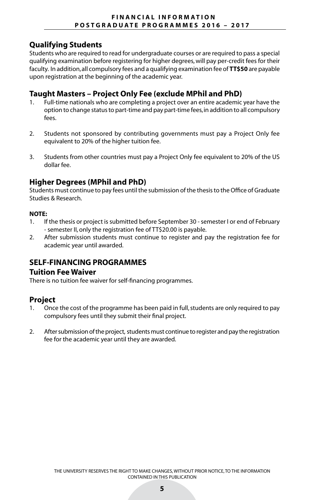## **Qualifying Students**

Students who are required to read for undergraduate courses or are required to pass a special qualifying examination before registering for higher degrees, will pay per-credit fees for their faculty. In addition, all compulsory fees and a qualifying examination fee of **TT\$50** are payable upon registration at the beginning of the academic year.

## **Taught Masters – Project Only Fee (exclude MPhil and PhD)**

- 1. Full-time nationals who are completing a project over an entire academic year have the option to change status to part-time and pay part-time fees, in addition to all compulsory fees.
- 2. Students not sponsored by contributing governments must pay a Project Only fee equivalent to 20% of the higher tuition fee.
- 3. Students from other countries must pay a Project Only fee equivalent to 20% of the US dollar fee.

## **Higher Degrees (MPhil and PhD)**

Students must continue to pay fees until the submission of the thesis to the Office of Graduate Studies & Research.

#### **NOTE:**

- 1. If the thesis or project is submitted before September 30 semester I or end of February - semester II, only the registration fee of TT\$20.00 is payable.
- 2. After submission students must continue to register and pay the registration fee for academic year until awarded.

## **SELF-FINANCING PROGRAMMES**

#### **Tuition Fee Waiver**

There is no tuition fee waiver for self-financing programmes.

## **Project**

- 1. Once the cost of the programme has been paid in full, students are only required to pay compulsory fees until they submit their final project.
- 2. After submission of the project, students must continue to register and pay the registration fee for the academic year until they are awarded.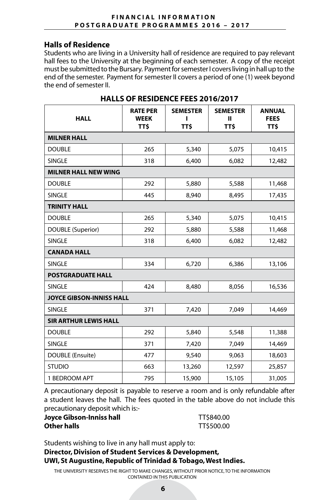## **Halls of Residence**

Students who are living in a University hall of residence are required to pay relevant hall fees to the University at the beginning of each semester. A copy of the receipt must be submitted to the Bursary. Payment for semester I covers living in hall up to the end of the semester. Payment for semester II covers a period of one (1) week beyond the end of semester II.

| <b>HALL</b>                     | <b>RATE PER</b><br><b>WEEK</b><br>TT\$ | <b>SEMESTER</b><br>TT\$ | <b>SEMESTER</b><br>ш<br><b>TTS</b> | <b>ANNUAL</b><br><b>FEES</b><br>TT\$ |
|---------------------------------|----------------------------------------|-------------------------|------------------------------------|--------------------------------------|
| <b>MILNER HALL</b>              |                                        |                         |                                    |                                      |
| <b>DOUBLE</b>                   | 265                                    | 5,340                   | 5,075                              | 10,415                               |
| <b>SINGLE</b>                   | 318                                    | 6,400                   | 6,082                              | 12,482                               |
| <b>MILNER HALL NEW WING</b>     |                                        |                         |                                    |                                      |
| <b>DOUBLE</b>                   | 292                                    | 5,880                   | 5,588                              | 11,468                               |
| <b>SINGLE</b>                   | 445                                    | 8,940                   | 8,495                              | 17,435                               |
| <b>TRINITY HALL</b>             |                                        |                         |                                    |                                      |
| <b>DOUBLE</b>                   | 265                                    | 5,340                   | 5,075                              | 10,415                               |
| <b>DOUBLE (Superior)</b>        | 292                                    | 5,880                   | 5,588                              | 11,468                               |
| <b>SINGLE</b>                   | 318                                    | 6,400                   | 6,082                              | 12,482                               |
| <b>CANADA HALL</b>              |                                        |                         |                                    |                                      |
| <b>SINGLE</b>                   | 334                                    | 6,720                   | 6,386                              | 13,106                               |
| <b>POSTGRADUATE HALL</b>        |                                        |                         |                                    |                                      |
| <b>SINGLE</b>                   | 424                                    | 8,480                   | 8,056                              | 16,536                               |
| <b>JOYCE GIBSON-INNISS HALL</b> |                                        |                         |                                    |                                      |
| <b>SINGLE</b>                   | 371                                    | 7,420                   | 7,049                              | 14,469                               |
| <b>SIR ARTHUR LEWIS HALL</b>    |                                        |                         |                                    |                                      |
| <b>DOUBLE</b>                   | 292                                    | 5,840                   | 5,548                              | 11,388                               |
| <b>SINGLE</b>                   | 371                                    | 7,420                   | 7,049                              | 14,469                               |
| DOUBLE (Ensuite)                | 477                                    | 9,540                   | 9,063                              | 18,603                               |
| <b>STUDIO</b>                   | 663                                    | 13,260                  | 12,597                             | 25,857                               |
| 1 BEDROOM APT                   | 795                                    | 15,900                  | 15,105                             | 31,005                               |

## **HALLS OF RESIDENCE FEES 2016/2017**

A precautionary deposit is payable to reserve a room and is only refundable after a student leaves the hall. The fees quoted in the table above do not include this precautionary deposit which is:-

| Joyce Gibson-Inniss hall | TT\$840.00 |
|--------------------------|------------|
| Other halls              | TT\$500.00 |

Students wishing to live in any hall must apply to:

## **Director, Division of Student Services & Development, UWI, St Augustine, Republic of Trinidad & Tobago, West Indies.**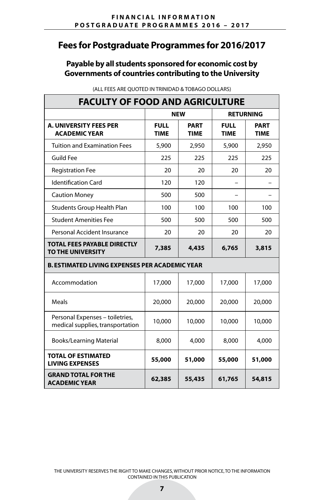## **Payable by all students sponsored for economic cost by Governments of countries contributing to the University**

| <b>FACULTY OF FOOD AND AGRICULTURE</b>                              |                            |                            |                            |                            |  |  |
|---------------------------------------------------------------------|----------------------------|----------------------------|----------------------------|----------------------------|--|--|
|                                                                     | <b>NEW</b>                 |                            |                            | <b>RETURNING</b>           |  |  |
| <b>A. UNIVERSITY FEES PER</b><br><b>ACADEMIC YEAR</b>               | <b>FULL</b><br><b>TIME</b> | <b>PART</b><br><b>TIME</b> | <b>FULL</b><br><b>TIME</b> | <b>PART</b><br><b>TIME</b> |  |  |
| <b>Tuition and Examination Fees</b>                                 | 5,900                      | 2,950                      | 5,900                      | 2,950                      |  |  |
| <b>Guild Fee</b>                                                    | 225                        | 225                        | 225                        | 225                        |  |  |
| <b>Registration Fee</b>                                             | 20                         | 20                         | 20                         | 20                         |  |  |
| <b>Identification Card</b>                                          | 120                        | 120                        |                            |                            |  |  |
| <b>Caution Money</b>                                                | 500                        | 500                        |                            |                            |  |  |
| Students Group Health Plan                                          | 100                        | 100                        | 100                        | 100                        |  |  |
| <b>Student Amenities Fee</b>                                        | 500                        | 500                        | 500                        | 500                        |  |  |
| Personal Accident Insurance                                         | 20                         | 20                         | 20                         | 20                         |  |  |
| <b>TOTAL FEES PAYABLE DIRECTLY</b><br>TO THE UNIVERSITY             | 7,385                      | 4,435                      | 6,765                      | 3,815                      |  |  |
| <b>B. ESTIMATED LIVING EXPENSES PER ACADEMIC YEAR</b>               |                            |                            |                            |                            |  |  |
| Accommodation                                                       | 17,000                     | 17,000                     | 17,000                     | 17,000                     |  |  |
| Meals                                                               | 20,000                     | 20,000                     | 20,000                     | 20,000                     |  |  |
| Personal Expenses - toiletries,<br>medical supplies, transportation | 10,000                     | 10,000                     | 10,000                     | 10,000                     |  |  |
| <b>Books/Learning Material</b>                                      | 8,000                      | 4,000                      | 8,000                      | 4,000                      |  |  |
| <b>TOTAL OF ESTIMATED</b><br><b>LIVING EXPENSES</b>                 | 55,000                     | 51,000                     | 55,000                     | 51,000                     |  |  |
| <b>GRAND TOTAL FOR THE</b><br><b>ACADEMIC YEAR</b>                  | 62,385                     | 55,435                     | 61,765                     | 54,815                     |  |  |

(ALL FEES ARE QUOTED IN TRINIDAD & TOBAGO DOLLARS)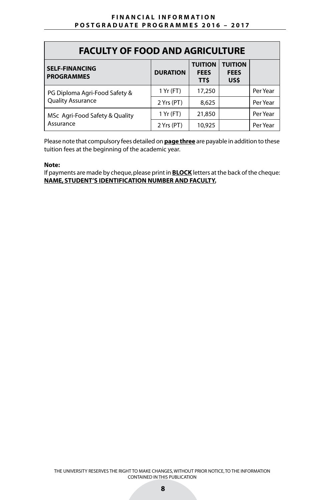| <b>FACULTY OF FOOD AND AGRICULTURE</b>     |                 |                                       |                                       |          |  |  |
|--------------------------------------------|-----------------|---------------------------------------|---------------------------------------|----------|--|--|
| <b>SELF-FINANCING</b><br><b>PROGRAMMES</b> | <b>DURATION</b> | <b>TUITION</b><br><b>FEES</b><br>TT\$ | <b>TUITION</b><br><b>FEES</b><br>US\$ |          |  |  |
| PG Diploma Agri-Food Safety &              | 1 Yr (FT)       | 17,250                                |                                       | Per Year |  |  |
| <b>Quality Assurance</b>                   | 2 Yrs (PT)      | 8,625                                 |                                       | Per Year |  |  |
| MSc Agri-Food Safety & Quality             | 1 Yr (FT)       | 21,850                                |                                       | Per Year |  |  |
| Assurance                                  | 2 Yrs (PT)      | 10,925                                |                                       | Per Year |  |  |

Please note that compulsory fees detailed on **page three** are payable in addition to these tuition fees at the beginning of the academic year.

#### **Note:**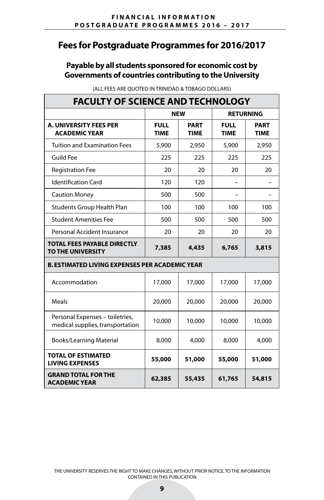## **Payable by all students sponsored for economic cost by Governments of countries contributing to the University**

| <b>FACULTY OF SCIENCE AND TECHNOLOGY</b>                            |                            |                            |                            |                            |  |  |
|---------------------------------------------------------------------|----------------------------|----------------------------|----------------------------|----------------------------|--|--|
|                                                                     |                            | <b>NEW</b>                 |                            | <b>RETURNING</b>           |  |  |
| <b>A. UNIVERSITY FEES PER</b><br><b>ACADEMIC YEAR</b>               | <b>FULL</b><br><b>TIME</b> | <b>PART</b><br><b>TIME</b> | <b>FULL</b><br><b>TIME</b> | <b>PART</b><br><b>TIME</b> |  |  |
| <b>Tuition and Examination Fees</b>                                 | 5,900                      | 2,950                      | 5,900                      | 2,950                      |  |  |
| <b>Guild Fee</b>                                                    | 225                        | 225                        | 225                        | 225                        |  |  |
| <b>Registration Fee</b>                                             | 20                         | 20                         | 20                         | 20                         |  |  |
| <b>Identification Card</b>                                          | 120                        | 120                        |                            |                            |  |  |
| <b>Caution Money</b>                                                | 500                        | 500                        |                            |                            |  |  |
| Students Group Health Plan                                          | 100                        | 100                        | 100                        | 100                        |  |  |
| <b>Student Amenities Fee</b>                                        | 500                        | 500                        | 500                        | 500                        |  |  |
| Personal Accident Insurance                                         | 20                         | 20                         | 20                         | 20                         |  |  |
| <b>TOTAL FEES PAYABLE DIRECTLY</b><br>TO THE UNIVERSITY             | 7,385                      | 4,435                      | 6,765                      | 3,815                      |  |  |
| <b>B. ESTIMATED LIVING EXPENSES PER ACADEMIC YEAR</b>               |                            |                            |                            |                            |  |  |
| Accommodation                                                       | 17,000                     | 17,000                     | 17,000                     | 17,000                     |  |  |
| Meals                                                               | 20,000                     | 20,000                     | 20,000                     | 20,000                     |  |  |
| Personal Expenses - toiletries,<br>medical supplies, transportation | 10,000                     | 10,000                     | 10,000                     | 10,000                     |  |  |
| <b>Books/Learning Material</b>                                      | 8,000                      | 4,000                      | 8,000                      | 4,000                      |  |  |
| <b>TOTAL OF ESTIMATED</b><br><b>LIVING EXPENSES</b>                 | 55,000                     | 51,000                     | 55,000                     | 51,000                     |  |  |
| <b>GRAND TOTAL FOR THE</b><br><b>ACADEMIC YEAR</b>                  | 62,385                     | 55,435                     | 61,765                     | 54,815                     |  |  |

(ALL FEES ARE QUOTED IN TRINIDAD & TOBAGO DOLLARS)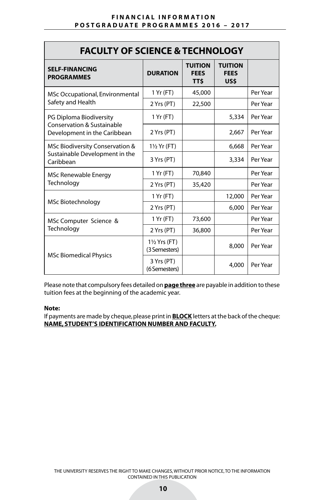| <b>FACULTY OF SCIENCE &amp; TECHNOLOGY</b>                                     |                                          |                                       |                                       |          |  |  |
|--------------------------------------------------------------------------------|------------------------------------------|---------------------------------------|---------------------------------------|----------|--|--|
| <b>SELF-FINANCING</b><br><b>PROGRAMMES</b>                                     | <b>DURATION</b>                          | <b>TUITION</b><br><b>FEES</b><br>TT\$ | <b>TUITION</b><br><b>FEES</b><br>US\$ |          |  |  |
| MSc Occupational, Environmental                                                | 1 Yr (FT)                                | 45,000                                |                                       | Per Year |  |  |
| Safety and Health                                                              | 2 Yrs (PT)                               | 22,500                                |                                       | Per Year |  |  |
| PG Diploma Biodiversity                                                        | 1 Yr (FT)                                |                                       | 5,334                                 | Per Year |  |  |
| <b>Conservation &amp; Sustainable</b><br>Development in the Caribbean          | 2 Yrs (PT)                               |                                       | 2,667                                 | Per Year |  |  |
| MSc Biodiversity Conservation &<br>Sustainable Development in the<br>Caribbean | $1\frac{1}{2}$ Yr (FT)                   |                                       | 6,668                                 | Per Year |  |  |
|                                                                                | 3 Yrs (PT)                               |                                       | 3,334                                 | Per Year |  |  |
| MSc Renewable Energy                                                           | 1 Yr (FT)                                | 70,840                                |                                       | Per Year |  |  |
| Technology                                                                     | 2 Yrs (PT)                               | 35,420                                |                                       | Per Year |  |  |
| MSc Biotechnology                                                              | 1 Yr (FT)                                |                                       | 12,000                                | Per Year |  |  |
|                                                                                | 2 Yrs (PT)                               |                                       | 6,000                                 | Per Year |  |  |
| MSc Computer Science &                                                         | 1 Yr (FT)                                | 73,600                                |                                       | Per Year |  |  |
| Technology                                                                     | 2 Yrs (PT)                               | 36,800                                |                                       | Per Year |  |  |
| <b>MSc Biomedical Physics</b>                                                  | $1\frac{1}{2}$ Yrs (FT)<br>(3 Semesters) |                                       | 8,000                                 | Per Year |  |  |
|                                                                                | 3 Yrs (PT)<br>(6 Semesters)              |                                       | 4,000                                 | Per Year |  |  |

Please note that compulsory fees detailed on **page three** are payable in addition to these tuition fees at the beginning of the academic year.

#### **Note:**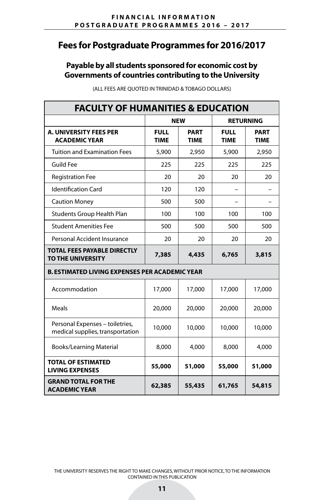## **Payable by all students sponsored for economic cost by Governments of countries contributing to the University**

| <b>FACULTY OF HUMANITIES &amp; EDUCATION</b>                        |                            |                     |                            |                            |  |  |
|---------------------------------------------------------------------|----------------------------|---------------------|----------------------------|----------------------------|--|--|
|                                                                     |                            | <b>NEW</b>          |                            | <b>RETURNING</b>           |  |  |
| <b>A. UNIVERSITY FEES PER</b><br><b>ACADEMIC YEAR</b>               | <b>FULL</b><br><b>TIME</b> | PART<br><b>TIME</b> | <b>FULL</b><br><b>TIME</b> | <b>PART</b><br><b>TIME</b> |  |  |
| <b>Tuition and Examination Fees</b>                                 | 5,900                      | 2,950               | 5,900                      | 2,950                      |  |  |
| <b>Guild Fee</b>                                                    | 225                        | 225                 | 225                        | 225                        |  |  |
| <b>Registration Fee</b>                                             | 20                         | 20                  | 20                         | 20                         |  |  |
| <b>Identification Card</b>                                          | 120                        | 120                 |                            |                            |  |  |
| <b>Caution Money</b>                                                | 500                        | 500                 |                            |                            |  |  |
| Students Group Health Plan                                          | 100                        | 100                 | 100                        | 100                        |  |  |
| <b>Student Amenities Fee</b>                                        | 500                        | 500                 | 500                        | 500                        |  |  |
| Personal Accident Insurance                                         | 20                         | 20                  | 20                         | 20                         |  |  |
| <b>TOTAL FEES PAYABLE DIRECTLY</b><br><b>TO THE UNIVERSITY</b>      | 7,385                      | 4,435               | 6,765                      | 3,815                      |  |  |
| <b>B. ESTIMATED LIVING EXPENSES PER ACADEMIC YEAR</b>               |                            |                     |                            |                            |  |  |
| Accommodation                                                       | 17,000                     | 17,000              | 17,000                     | 17,000                     |  |  |
| Meals                                                               | 20,000                     | 20,000              | 20,000                     | 20,000                     |  |  |
| Personal Expenses - toiletries,<br>medical supplies, transportation | 10,000                     | 10,000              | 10,000                     | 10,000                     |  |  |
| <b>Books/Learning Material</b>                                      | 8,000                      | 4,000               | 8,000                      | 4,000                      |  |  |
| <b>TOTAL OF ESTIMATED</b><br><b>LIVING EXPENSES</b>                 | 55,000                     | 51,000              | 55,000                     | 51,000                     |  |  |
| <b>GRAND TOTAL FOR THE</b><br><b>ACADEMIC YEAR</b>                  | 62,385                     | 55,435              | 61,765                     | 54,815                     |  |  |

(ALL FEES ARE QUOTED IN TRINIDAD & TOBAGO DOLLARS)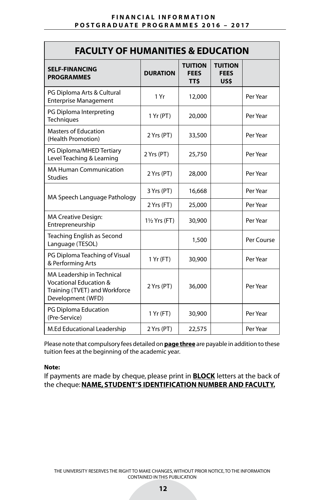| <b>FACULTY OF HUMANITIES &amp; EDUCATION</b>                                                                          |                         |                                             |                                       |            |  |
|-----------------------------------------------------------------------------------------------------------------------|-------------------------|---------------------------------------------|---------------------------------------|------------|--|
| <b>SELF-FINANCING</b><br><b>PROGRAMMES</b>                                                                            | <b>DURATION</b>         | <b>TUITION</b><br><b>FEES</b><br><b>TTS</b> | <b>TUITION</b><br><b>FEES</b><br>US\$ |            |  |
| PG Diploma Arts & Cultural<br><b>Enterprise Management</b>                                                            | 1 Yr                    | 12,000                                      |                                       | Per Year   |  |
| PG Diploma Interpreting<br>Techniques                                                                                 | 1 Yr (PT)               | 20,000                                      |                                       | Per Year   |  |
| <b>Masters of Education</b><br>(Health Promotion)                                                                     | 2 Yrs (PT)              | 33,500                                      |                                       | Per Year   |  |
| PG Diploma/MHED Tertiary<br>Level Teaching & Learning                                                                 | 2 Yrs (PT)              | 25,750                                      |                                       | Per Year   |  |
| <b>MA Human Communication</b><br><b>Studies</b>                                                                       | 2 Yrs (PT)              | 28,000                                      |                                       | Per Year   |  |
| MA Speech Language Pathology                                                                                          | 3 Yrs (PT)              | 16,668                                      |                                       | Per Year   |  |
|                                                                                                                       | 2 Yrs (FT)              | 25,000                                      |                                       | Per Year   |  |
| <b>MA Creative Design:</b><br>Entrepreneurship                                                                        | $1\frac{1}{2}$ Yrs (FT) | 30,900                                      |                                       | Per Year   |  |
| Teaching English as Second<br>Language (TESOL)                                                                        |                         | 1,500                                       |                                       | Per Course |  |
| PG Diploma Teaching of Visual<br>& Performing Arts                                                                    | 1 Yr (FT)               | 30,900                                      |                                       | Per Year   |  |
| MA Leadership in Technical<br><b>Vocational Education &amp;</b><br>Training (TVET) and Workforce<br>Development (WFD) | 2 Yrs (PT)              | 36,000                                      |                                       | Per Year   |  |
| PG Diploma Education<br>(Pre-Service)                                                                                 | 1 Yr (FT)               | 30,900                                      |                                       | Per Year   |  |
| M.Ed Educational Leadership                                                                                           | 2 Yrs (PT)              | 22,575                                      |                                       | Per Year   |  |

Please note that compulsory fees detailed on **page three** are payable in addition to these tuition fees at the beginning of the academic year.

#### **Note:**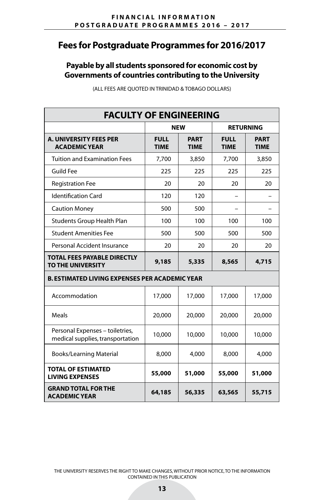## **Payable by all students sponsored for economic cost by Governments of countries contributing to the University**

| <b>FACULTY OF ENGINEERING</b>                                       |                                      |                            |                            |                            |  |
|---------------------------------------------------------------------|--------------------------------------|----------------------------|----------------------------|----------------------------|--|
|                                                                     |                                      | <b>NEW</b>                 |                            | <b>RETURNING</b>           |  |
| <b>A. UNIVERSITY FEES PER</b><br><b>ACADEMIC YEAR</b>               | <b>FULL</b><br><b>TIME</b>           | <b>PART</b><br><b>TIME</b> | <b>FULL</b><br><b>TIME</b> | <b>PART</b><br><b>TIME</b> |  |
| <b>Tuition and Examination Fees</b>                                 | 7,700                                | 3,850                      | 7,700                      | 3,850                      |  |
| <b>Guild Fee</b>                                                    | 225                                  | 225                        | 225                        | 225                        |  |
| <b>Registration Fee</b>                                             | 20                                   | 20                         | 20                         | 20                         |  |
| <b>Identification Card</b>                                          | 120                                  | 120                        |                            |                            |  |
| <b>Caution Money</b>                                                | 500                                  | 500                        |                            |                            |  |
| <b>Students Group Health Plan</b>                                   | 100                                  | 100                        | 100                        | 100                        |  |
| <b>Student Amenities Fee</b>                                        | 500                                  | 500                        | 500                        | 500                        |  |
| Personal Accident Insurance                                         | 20                                   | 20                         | 20                         | 20                         |  |
| <b>TOTAL FEES PAYABLE DIRECTLY</b><br><b>TO THE UNIVERSITY</b>      | 9,185                                | 5,335                      | 8,565                      | 4,715                      |  |
| <b>B. ESTIMATED LIVING EXPENSES PER ACADEMIC YEAR</b>               |                                      |                            |                            |                            |  |
| Accommodation                                                       | 17,000                               | 17,000                     | 17,000                     | 17,000                     |  |
| Meals                                                               | 20,000                               | 20,000                     | 20,000                     | 20,000                     |  |
| Personal Expenses - toiletries,<br>medical supplies, transportation | 10,000                               | 10,000                     | 10,000                     | 10,000                     |  |
| <b>Books/Learning Material</b>                                      | 8,000                                | 4,000                      | 8,000                      | 4,000                      |  |
| <b>TOTAL OF ESTIMATED</b><br><b>LIVING EXPENSES</b>                 | 51,000<br>55,000<br>55,000<br>51,000 |                            |                            |                            |  |
| <b>GRAND TOTAL FOR THE</b><br><b>ACADEMIC YEAR</b>                  | 64,185                               | 56,335                     | 63,565                     | 55,715                     |  |

(ALL FEES ARE QUOTED IN TRINIDAD & TOBAGO DOLLARS)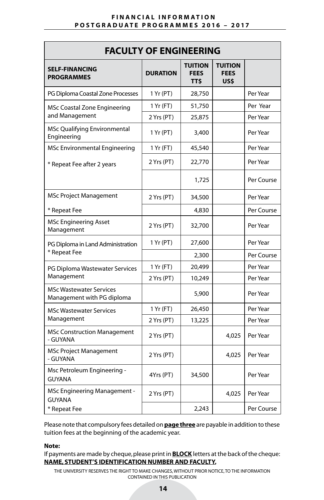| <b>FACULTY OF ENGINEERING</b>                                |                 |                                             |                                       |            |  |
|--------------------------------------------------------------|-----------------|---------------------------------------------|---------------------------------------|------------|--|
| <b>SELF-FINANCING</b><br><b>PROGRAMMES</b>                   | <b>DURATION</b> | <b>TUITION</b><br><b>FEES</b><br><b>TTS</b> | <b>TUITION</b><br><b>FEES</b><br>US\$ |            |  |
| PG Diploma Coastal Zone Processes                            | 1 Yr (PT)       | 28,750                                      |                                       | Per Year   |  |
| MSc Coastal Zone Engineering                                 | 1 Yr (FT)       | 51,750                                      |                                       | Per Year   |  |
| and Management                                               | 2 Yrs (PT)      | 25,875                                      |                                       | Per Year   |  |
| MSc Qualifying Environmental<br>Engineering                  | 1 Yr (PT)       | 3,400                                       |                                       | Per Year   |  |
| MSc Environmental Engineering                                | 1 Yr (FT)       | 45,540                                      |                                       | Per Year   |  |
| * Repeat Fee after 2 years                                   | 2 Yrs (PT)      | 22,770                                      |                                       | Per Year   |  |
|                                                              |                 | 1,725                                       |                                       | Per Course |  |
| <b>MSc Project Management</b>                                | 2 Yrs (PT)      | 34,500                                      |                                       | Per Year   |  |
| * Repeat Fee                                                 |                 | 4,830                                       |                                       | Per Course |  |
| <b>MSc Engineering Asset</b><br>Management                   | 2 Yrs (PT)      | 32,700                                      |                                       | Per Year   |  |
| PG Diploma in Land Administration                            | 1 Yr (PT)       | 27,600                                      |                                       | Per Year   |  |
| * Repeat Fee                                                 |                 | 2,300                                       |                                       | Per Course |  |
| PG Diploma Wastewater Services                               | 1 Yr (FT)       | 20,499                                      |                                       | Per Year   |  |
| Management                                                   | 2 Yrs (PT)      | 10,249                                      |                                       | Per Year   |  |
| <b>MSc Wastewater Services</b><br>Management with PG diploma |                 | 5,900                                       |                                       | Per Year   |  |
| <b>MSc Wastewater Services</b>                               | 1 Yr (FT)       | 26,450                                      |                                       | Per Year   |  |
| Management                                                   | 2 Yrs (PT)      | 13,225                                      |                                       | Per Year   |  |
| <b>MSc Construction Management</b><br>- GUYANA               | 2 Yrs (PT)      |                                             | 4,025                                 | Per Year   |  |
| <b>MSc Project Management</b><br>- GUYANA                    | 2 Yrs (PT)      |                                             | 4.025                                 | Per Year   |  |
| Msc Petroleum Engineering -<br><b>GUYANA</b>                 | 4Yrs (PT)       | 34,500                                      |                                       | Per Year   |  |
| MSc Engineering Management -<br><b>GUYANA</b>                | 2 Yrs (PT)      |                                             | 4,025                                 | Per Year   |  |
| * Repeat Fee                                                 |                 | 2.243                                       |                                       | Per Course |  |

Please note that compulsory fees detailed on **page three** are payable in addition to these tuition fees at the beginning of the academic year.

#### **Note:**

If payments are made by cheque, please print in **BLOCK** letters at the back of the cheque: **NAME, STUDENT'S IDENTIFICATION NUMBER AND FACULTY.**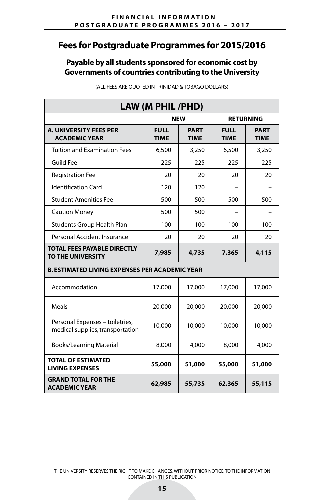## **Payable by all students sponsored for economic cost by Governments of countries contributing to the University**

| LAW (M PHIL /PHD)                                                   |                                      |                            |                            |                            |  |  |
|---------------------------------------------------------------------|--------------------------------------|----------------------------|----------------------------|----------------------------|--|--|
|                                                                     |                                      | <b>NEW</b>                 |                            | <b>RETURNING</b>           |  |  |
| <b>A. UNIVERSITY FEES PER</b><br><b>ACADEMIC YEAR</b>               | <b>FULL</b><br><b>TIME</b>           | <b>PART</b><br><b>TIME</b> | <b>FULL</b><br><b>TIME</b> | <b>PART</b><br><b>TIME</b> |  |  |
| <b>Tuition and Examination Fees</b>                                 | 6,500                                | 3,250                      | 6,500                      | 3,250                      |  |  |
| <b>Guild Fee</b>                                                    | 225                                  | 225                        | 225                        | 225                        |  |  |
| <b>Registration Fee</b>                                             | 20                                   | 20                         | 20                         | 20                         |  |  |
| <b>Identification Card</b>                                          | 120                                  | 120                        |                            |                            |  |  |
| <b>Student Amenities Fee</b>                                        | 500                                  | 500                        | 500                        | 500                        |  |  |
| <b>Caution Money</b>                                                | 500                                  | 500                        |                            |                            |  |  |
| Students Group Health Plan                                          | 100                                  | 100                        | 100                        | 100                        |  |  |
| Personal Accident Insurance                                         | 20                                   | 20                         | 20                         | 20                         |  |  |
| <b>TOTAL FEES PAYABLE DIRECTLY</b><br>TO THE UNIVERSITY             | 7,985                                | 4,735                      | 7,365                      | 4,115                      |  |  |
| <b>B. ESTIMATED LIVING EXPENSES PER ACADEMIC YEAR</b>               |                                      |                            |                            |                            |  |  |
| Accommodation                                                       | 17,000                               | 17,000                     | 17,000                     | 17,000                     |  |  |
| <b>Meals</b>                                                        | 20,000                               | 20,000                     | 20,000                     | 20,000                     |  |  |
| Personal Expenses - toiletries,<br>medical supplies, transportation | 10,000                               | 10,000                     | 10,000                     | 10,000                     |  |  |
| <b>Books/Learning Material</b>                                      | 8,000                                | 4,000                      | 8,000                      | 4,000                      |  |  |
| <b>TOTAL OF ESTIMATED</b><br><b>LIVING EXPENSES</b>                 | 55,000<br>51,000<br>55,000<br>51,000 |                            |                            |                            |  |  |
| <b>GRAND TOTAL FOR THE</b><br><b>ACADEMIC YEAR</b>                  | 62,985                               | 55,735                     | 62,365                     | 55,115                     |  |  |

(ALL FEES ARE QUOTED IN TRINIDAD & TOBAGO DOLLARS)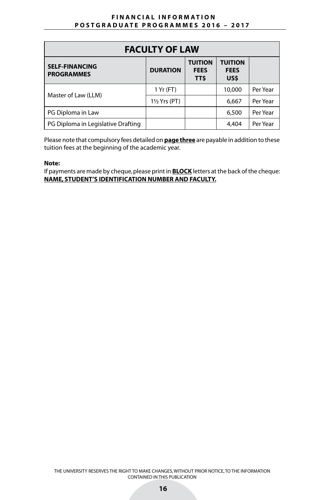| <b>FACULTY OF LAW</b>                      |                         |                                             |                                       |          |  |
|--------------------------------------------|-------------------------|---------------------------------------------|---------------------------------------|----------|--|
| <b>SELF-FINANCING</b><br><b>PROGRAMMES</b> | <b>DURATION</b>         | <b>TUITION</b><br><b>FEES</b><br><b>TTS</b> | <b>TUITION</b><br><b>FEES</b><br>US\$ |          |  |
| Master of Law (LLM)                        | 1 Yr (FT)               |                                             | 10,000                                | Per Year |  |
|                                            | $1\frac{1}{2}$ Yrs (PT) |                                             | 6,667                                 | Per Year |  |
| PG Diploma in Law                          |                         |                                             | 6,500                                 | Per Year |  |
| PG Diploma in Legislative Drafting         |                         |                                             | 4,404                                 | Per Year |  |

Please note that compulsory fees detailed on **page three** are payable in addition to these tuition fees at the beginning of the academic year.

#### **Note:**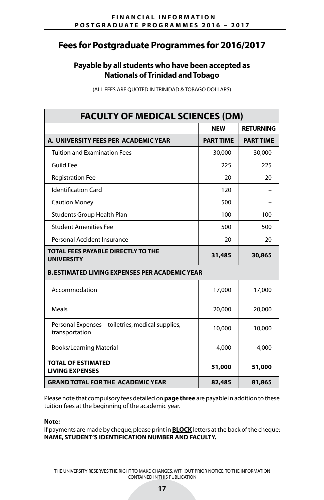## **Payable by all students who have been accepted as Nationals of Trinidad and Tobago**

| <b>FACULTY OF MEDICAL SCIENCES (DM)</b>                             |                  |                  |
|---------------------------------------------------------------------|------------------|------------------|
|                                                                     | NEW              | <b>RETURNING</b> |
| A. UNIVERSITY FEES PER ACADEMIC YEAR                                | <b>PART TIME</b> | <b>PART TIME</b> |
| <b>Tuition and Examination Fees</b>                                 | 30,000           | 30,000           |
| <b>Guild Fee</b>                                                    | 225              | 225              |
| <b>Registration Fee</b>                                             | 20               | 20               |
| <b>Identification Card</b>                                          | 120              |                  |
| <b>Caution Money</b>                                                | 500              |                  |
| <b>Students Group Health Plan</b>                                   | 100              | 100              |
| <b>Student Amenities Fee</b>                                        | 500              | 500              |
| Personal Accident Insurance                                         | 20               | 20               |
| <b>TOTAL FEES PAYABLE DIRECTLY TO THE</b><br><b>UNIVERSITY</b>      | 31,485           | 30,865           |
| <b>B. ESTIMATED LIVING EXPENSES PER ACADEMIC YEAR</b>               |                  |                  |
| Accommodation                                                       | 17,000           | 17,000           |
| Meals                                                               | 20,000           | 20,000           |
| Personal Expenses - toiletries, medical supplies,<br>transportation | 10,000           | 10,000           |
| <b>Books/Learning Material</b>                                      | 4,000            | 4,000            |
| <b>TOTAL OF ESTIMATED</b><br><b>LIVING EXPENSES</b>                 | 51,000           | 51,000           |
| <b>GRAND TOTAL FOR THE ACADEMIC YEAR</b>                            | 82,485           | 81,865           |

(ALL FEES ARE QUOTED IN TRINIDAD & TOBAGO DOLLARS)

Please note that compulsory fees detailed on **page three** are payable in addition to these tuition fees at the beginning of the academic year.

#### **Note:**

If payments are made by cheque, please print in **BLOCK** letters at the back of the cheque: **NAME, STUDENT'S IDENTIFICATION NUMBER AND FACULTY.**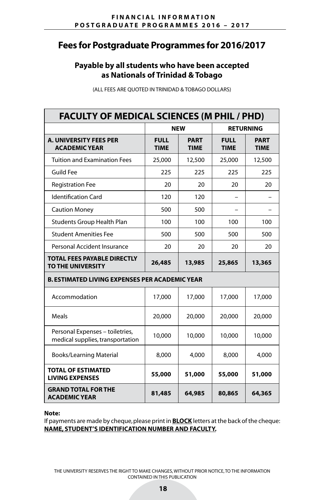## **Payable by all students who have been accepted as Nationals of Trinidad & Tobago**

| <b>FACULTY OF MEDICAL SCIENCES (M PHIL / PHD)</b>                   |                            |                            |                            |                            |  |
|---------------------------------------------------------------------|----------------------------|----------------------------|----------------------------|----------------------------|--|
|                                                                     |                            | <b>NEW</b>                 |                            | <b>RETURNING</b>           |  |
| <b>A. UNIVERSITY FEES PER</b><br><b>ACADEMIC YEAR</b>               | <b>FULL</b><br><b>TIME</b> | <b>PART</b><br><b>TIME</b> | <b>FULL</b><br><b>TIME</b> | <b>PART</b><br><b>TIME</b> |  |
| <b>Tuition and Examination Fees</b>                                 | 25,000                     | 12,500                     | 25,000                     | 12,500                     |  |
| <b>Guild Fee</b>                                                    | 225                        | 225                        | 225                        | 225                        |  |
| <b>Registration Fee</b>                                             | 20                         | 20                         | 20                         | 20                         |  |
| <b>Identification Card</b>                                          | 120                        | 120                        |                            |                            |  |
| <b>Caution Money</b>                                                | 500                        | 500                        |                            |                            |  |
| <b>Students Group Health Plan</b>                                   | 100                        | 100                        | 100                        | 100                        |  |
| <b>Student Amenities Fee</b>                                        | 500                        | 500                        | 500                        | 500                        |  |
| Personal Accident Insurance                                         | 20                         | 20                         | 20                         | 20                         |  |
| <b>TOTAL FEES PAYABLE DIRECTLY</b><br>TO THE UNIVERSITY             | 26,485                     | 13,985                     | 25,865                     | 13,365                     |  |
| <b>B. ESTIMATED LIVING EXPENSES PER ACADEMIC YEAR</b>               |                            |                            |                            |                            |  |
| Accommodation                                                       | 17,000                     | 17,000                     | 17,000                     | 17,000                     |  |
| Meals                                                               | 20,000                     | 20,000                     | 20,000                     | 20,000                     |  |
| Personal Expenses - toiletries,<br>medical supplies, transportation | 10,000                     | 10,000                     | 10,000                     | 10,000                     |  |
| <b>Books/Learning Material</b>                                      | 8,000                      | 4,000                      | 8,000                      | 4,000                      |  |
| <b>TOTAL OF ESTIMATED</b><br><b>LIVING EXPENSES</b>                 | 55,000                     | 51,000                     | 55,000                     | 51,000                     |  |
| <b>GRAND TOTAL FOR THE</b><br><b>ACADEMIC YEAR</b>                  | 81,485                     | 64,985                     | 80,865                     | 64,365                     |  |

(ALL FEES ARE QUOTED IN TRINIDAD & TOBAGO DOLLARS)

#### **Note:**

If payments are made by cheque, please print in **BLOCK** letters at the back of the cheque: **NAME, STUDENT'S IDENTIFICATION NUMBER AND FACULTY.**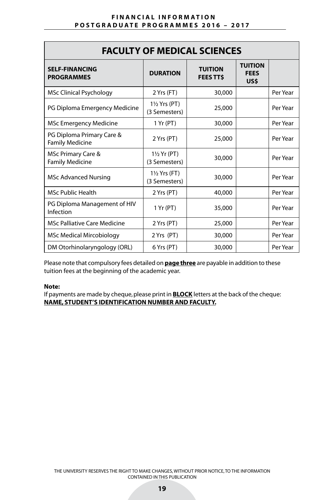| <b>FACULTY OF MEDICAL SCIENCES</b>                  |                                          |                                   |                                       |          |  |
|-----------------------------------------------------|------------------------------------------|-----------------------------------|---------------------------------------|----------|--|
| <b>SELF-FINANCING</b><br><b>PROGRAMMES</b>          | <b>DURATION</b>                          | <b>TUITION</b><br><b>FEES TTS</b> | <b>TUITION</b><br><b>FEES</b><br>US\$ |          |  |
| <b>MSc Clinical Psychology</b>                      | 2 Yrs (FT)                               | 30,000                            |                                       | Per Year |  |
| PG Diploma Emergency Medicine                       | $1\frac{1}{2}$ Yrs (PT)<br>(3 Semesters) | 25,000                            |                                       | Per Year |  |
| <b>MSc Emergency Medicine</b>                       | 1 Yr (PT)                                | 30,000                            |                                       | Per Year |  |
| PG Diploma Primary Care &<br><b>Family Medicine</b> | 2 Yrs (PT)                               | 25,000                            |                                       | Per Year |  |
| MSc Primary Care &<br><b>Family Medicine</b>        | $1\frac{1}{2}$ Yr (PT)<br>(3 Semesters)  | 30,000                            |                                       | Per Year |  |
| <b>MSc Advanced Nursing</b>                         | 1½ Yrs (FT)<br>(3 Semesters)             | 30,000                            |                                       | Per Year |  |
| <b>MSc Public Health</b>                            | 2 Yrs (PT)                               | 40,000                            |                                       | Per Year |  |
| PG Diploma Management of HIV<br>Infection           | 1 Yr (PT)                                | 35,000                            |                                       | Per Year |  |
| <b>MSc Palliative Care Medicine</b>                 | 2 Yrs (PT)                               | 25,000                            |                                       | Per Year |  |
| <b>MSc Medical Mircobiology</b>                     | 2 Yrs (PT)                               | 30,000                            |                                       | Per Year |  |
| DM Otorhinolaryngology (ORL)                        | 6 Yrs (PT)                               | 30,000                            |                                       | Per Year |  |

Please note that compulsory fees detailed on **page three** are payable in addition to these tuition fees at the beginning of the academic year.

#### **Note:**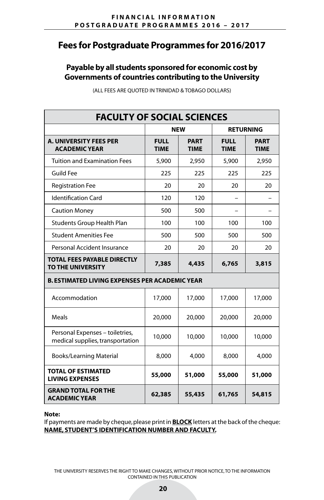## **Payable by all students sponsored for economic cost by Governments of countries contributing to the University**

| <b>FACULTY OF SOCIAL SCIENCES</b>                                   |                                      |                            |                            |                            |  |
|---------------------------------------------------------------------|--------------------------------------|----------------------------|----------------------------|----------------------------|--|
|                                                                     |                                      | <b>NEW</b>                 | <b>RETURNING</b>           |                            |  |
| <b>A. UNIVERSITY FEES PER</b><br><b>ACADEMIC YEAR</b>               | <b>FULL</b><br><b>TIME</b>           | <b>PART</b><br><b>TIME</b> | <b>FULL</b><br><b>TIME</b> | <b>PART</b><br><b>TIME</b> |  |
| <b>Tuition and Examination Fees</b>                                 | 5,900                                | 2,950                      | 5,900                      | 2,950                      |  |
| <b>Guild Fee</b>                                                    | 225                                  | 225                        | 225                        | 225                        |  |
| <b>Registration Fee</b>                                             | 20                                   | 20                         | 20                         | 20                         |  |
| <b>Identification Card</b>                                          | 120                                  | 120                        |                            |                            |  |
| <b>Caution Money</b>                                                | 500                                  | 500                        |                            |                            |  |
| <b>Students Group Health Plan</b>                                   | 100                                  | 100                        | 100                        | 100                        |  |
| <b>Student Amenities Fee</b>                                        | 500                                  | 500                        | 500                        | 500                        |  |
| Personal Accident Insurance                                         | 20                                   | 20                         | 20                         | 20                         |  |
| <b>TOTAL FEES PAYABLE DIRECTLY</b><br>TO THE UNIVERSITY             | 7,385                                | 4,435                      | 6,765                      | 3,815                      |  |
| <b>B. ESTIMATED LIVING EXPENSES PER ACADEMIC YEAR</b>               |                                      |                            |                            |                            |  |
| Accommodation                                                       | 17,000                               | 17,000                     | 17,000                     | 17,000                     |  |
| Meals                                                               | 20,000                               | 20,000                     | 20,000                     | 20,000                     |  |
| Personal Expenses - toiletries,<br>medical supplies, transportation | 10,000                               | 10,000                     | 10,000                     | 10,000                     |  |
| <b>Books/Learning Material</b>                                      | 8,000                                | 4,000                      | 8,000                      | 4,000                      |  |
| <b>TOTAL OF ESTIMATED</b><br><b>LIVING EXPENSES</b>                 | 55,000<br>51,000<br>55,000<br>51,000 |                            |                            |                            |  |
| <b>GRAND TOTAL FOR THE</b><br><b>ACADEMIC YEAR</b>                  | 62,385                               | 55,435                     | 61,765                     | 54,815                     |  |

(ALL FEES ARE QUOTED IN TRINIDAD & TOBAGO DOLLARS)

#### **Note:**

If payments are made by cheque, please print in **BLOCK** letters at the back of the cheque: **NAME, STUDENT'S IDENTIFICATION NUMBER AND FACULTY.**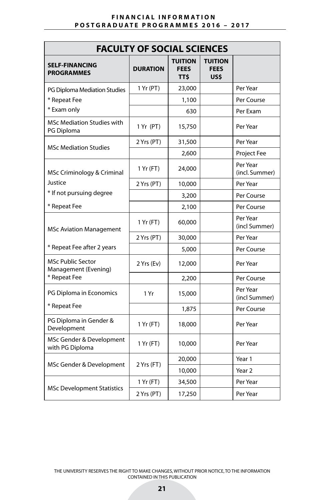| <b>FACULTY OF SOCIAL SCIENCES</b>                |                 |                                             |                                       |                            |  |
|--------------------------------------------------|-----------------|---------------------------------------------|---------------------------------------|----------------------------|--|
| <b>SELF-FINANCING</b><br><b>PROGRAMMES</b>       | <b>DURATION</b> | <b>TUITION</b><br><b>FEES</b><br><b>TTS</b> | <b>TUITION</b><br><b>FEES</b><br>US\$ |                            |  |
| PG Diploma Mediation Studies                     | 1 Yr (PT)       | 23,000                                      |                                       | Per Year                   |  |
| * Repeat Fee                                     |                 | 1,100                                       |                                       | Per Course                 |  |
| * Exam only                                      |                 | 630                                         |                                       | Per Exam                   |  |
| <b>MSc Mediation Studies with</b><br>PG Diploma  | 1 Yr (PT)       | 15,750                                      |                                       | Per Year                   |  |
| <b>MSc Mediation Studies</b>                     | 2 Yrs (PT)      | 31,500                                      |                                       | Per Year                   |  |
|                                                  |                 | 2,600                                       |                                       | <b>Project Fee</b>         |  |
| MSc Criminology & Criminal                       | 1 Yr (FT)       | 24,000                                      |                                       | Per Year<br>(incl. Summer) |  |
| Justice                                          | 2 Yrs (PT)      | 10,000                                      |                                       | Per Year                   |  |
| * If not pursuing degree                         |                 | 3,200                                       |                                       | Per Course                 |  |
| * Repeat Fee                                     |                 | 2,100                                       |                                       | Per Course                 |  |
| <b>MSc Aviation Management</b>                   | 1 Yr (FT)       | 60,000                                      |                                       | Per Year<br>(incl Summer)  |  |
|                                                  | 2 Yrs (PT)      | 30,000                                      |                                       | Per Year                   |  |
| * Repeat Fee after 2 years                       |                 | 5,000                                       |                                       | Per Course                 |  |
| <b>MSc Public Sector</b><br>Management (Evening) | 2 Yrs (Ev)      | 12,000                                      |                                       | Per Year                   |  |
| * Repeat Fee                                     |                 | 2,200                                       |                                       | Per Course                 |  |
| PG Diploma in Economics                          | 1 Yr            | 15,000                                      |                                       | Per Year<br>(incl Summer)  |  |
| * Repeat Fee                                     |                 | 1,875                                       |                                       | Per Course                 |  |
| PG Diploma in Gender &<br>Development            | 1 Yr (FT)       | 18,000                                      |                                       | Per Year                   |  |
| MSc Gender & Development<br>with PG Diploma      | 1 Yr (FT)       | 10,000                                      |                                       | Per Year                   |  |
|                                                  |                 | 20,000                                      |                                       | Year 1                     |  |
| MSc Gender & Development                         | 2 Yrs (FT)      | 10,000                                      |                                       | Year <sub>2</sub>          |  |
|                                                  | 1 Yr (FT)       | 34,500                                      |                                       | Per Year                   |  |
| <b>MSc Development Statistics</b>                | 2 Yrs (PT)      | 17,250                                      |                                       | Per Year                   |  |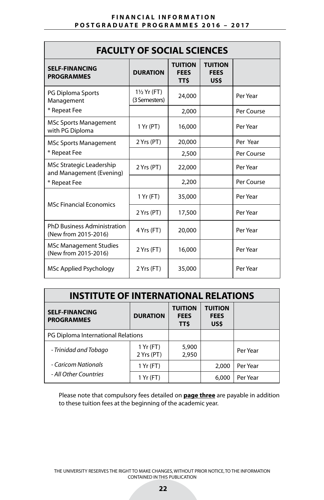| <b>FACULTY OF SOCIAL SCIENCES</b>                          |                                         |                                             |                                       |            |  |
|------------------------------------------------------------|-----------------------------------------|---------------------------------------------|---------------------------------------|------------|--|
| <b>SELF-FINANCING</b><br><b>PROGRAMMES</b>                 | <b>DURATION</b>                         | <b>TUITION</b><br><b>FEES</b><br><b>TTS</b> | <b>TUITION</b><br><b>FEES</b><br>US\$ |            |  |
| <b>PG Diploma Sports</b><br>Management                     | $1\frac{1}{2}$ Yr (FT)<br>(3 Semesters) | 24,000                                      |                                       | Per Year   |  |
| * Repeat Fee                                               |                                         | 2,000                                       |                                       | Per Course |  |
| <b>MSc Sports Management</b><br>with PG Diploma            | 1 Yr (PT)                               | 16,000                                      |                                       | Per Year   |  |
| <b>MSc Sports Management</b>                               | 2 Yrs (PT)                              | 20,000                                      |                                       | Per Year   |  |
| * Repeat Fee                                               |                                         | 2,500                                       |                                       | Per Course |  |
| MSc Strategic Leadership<br>and Management (Evening)       | 2 Yrs (PT)                              | 22,000                                      |                                       | Per Year   |  |
| * Repeat Fee                                               |                                         | 2,200                                       |                                       | Per Course |  |
| <b>MSc Financial Economics</b>                             | 1 Yr (FT)                               | 35,000                                      |                                       | Per Year   |  |
|                                                            | 2 Yrs (PT)                              | 17,500                                      |                                       | Per Year   |  |
| <b>PhD Business Administration</b><br>(New from 2015-2016) | 4 Yrs (FT)                              | 20,000                                      |                                       | Per Year   |  |
| <b>MSc Management Studies</b><br>(New from 2015-2016)      | 2 Yrs (FT)                              | 16,000                                      |                                       | Per Year   |  |
| MSc Applied Psychology                                     | 2 Yrs (FT)                              | 35,000                                      |                                       | Per Year   |  |

| <b>INSTITUTE OF INTERNATIONAL RELATIONS</b> |                         |                                       |                                       |          |  |  |
|---------------------------------------------|-------------------------|---------------------------------------|---------------------------------------|----------|--|--|
| <b>SELF-FINANCING</b><br><b>PROGRAMMES</b>  | <b>DURATION</b>         | <b>TUITION</b><br><b>FEES</b><br>TT\$ | <b>TUITION</b><br><b>FEES</b><br>US\$ |          |  |  |
| PG Diploma International Relations          |                         |                                       |                                       |          |  |  |
| - Trinidad and Tobago                       | 1 Yr (FT)<br>2 Yrs (PT) | 5,900<br>2,950                        |                                       | Per Year |  |  |
| - Caricom Nationals                         | 1 Yr (FT)               |                                       | 2,000                                 | Per Year |  |  |
| - All Other Countries                       | 1 Yr (FT)               |                                       | 6,000                                 | Per Year |  |  |

Please note that compulsory fees detailed on **page three** are payable in addition to these tuition fees at the beginning of the academic year.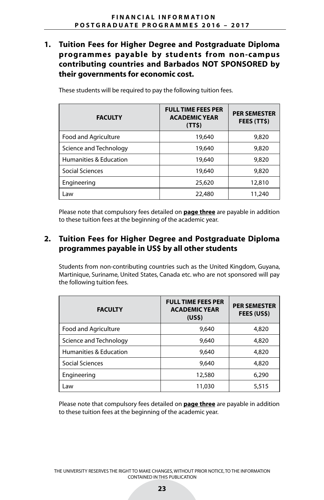## **1. Tuition Fees for Higher Degree and Postgraduate Diploma programmes payable by students from non-campus contributing countries and Barbados NOT SPONSORED by their governments for economic cost.**

| <b>FACULTY</b>         | <b>FULL TIME FEES PER</b><br><b>ACADEMIC YEAR</b><br>(TT <sub>5</sub> ) | <b>PER SEMESTER</b><br>FEES (TT\$) |
|------------------------|-------------------------------------------------------------------------|------------------------------------|
| Food and Agriculture   | 19,640                                                                  | 9,820                              |
| Science and Technology | 19,640                                                                  | 9,820                              |
| Humanities & Education | 19,640                                                                  | 9,820                              |
| Social Sciences        | 19,640                                                                  | 9,820                              |
| Engineering            | 25,620                                                                  | 12,810                             |
| Law                    | 22,480                                                                  | 11,240                             |

These students will be required to pay the following tuition fees.

Please note that compulsory fees detailed on **page three** are payable in addition to these tuition fees at the beginning of the academic year.

## **2. Tuition Fees for Higher Degree and Postgraduate Diploma programmes payable in US\$ by all other students**

Students from non-contributing countries such as the United Kingdom, Guyana, Martinique, Suriname, United States, Canada etc. who are not sponsored will pay the following tuition fees.

| <b>FACULTY</b>         | <b>FULL TIME FEES PER</b><br><b>ACADEMIC YEAR</b><br>(US <sub>5</sub> ) | <b>PER SEMESTER</b><br>FEES (US\$) |
|------------------------|-------------------------------------------------------------------------|------------------------------------|
| Food and Agriculture   | 9,640                                                                   | 4,820                              |
| Science and Technology | 9,640                                                                   | 4,820                              |
| Humanities & Education | 9,640                                                                   | 4,820                              |
| Social Sciences        | 9,640                                                                   | 4,820                              |
| Engineering            | 12,580                                                                  | 6,290                              |
| Law                    | 11,030                                                                  | 5,515                              |

Please note that compulsory fees detailed on **page three** are payable in addition to these tuition fees at the beginning of the academic year.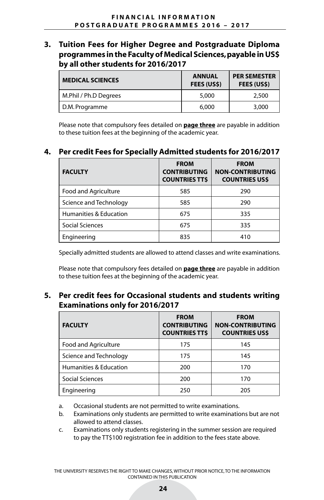**3. Tuition Fees for Higher Degree and Postgraduate Diploma programmes in the Faculty of Medical Sciences, payable in US\$ by all other students for 2016/2017**

| <b>MEDICAL SCIENCES</b> | <b>ANNUAL</b><br><b>FEES (USS)</b> | <b>PER SEMESTER</b><br><b>FEES (USS)</b> |  |
|-------------------------|------------------------------------|------------------------------------------|--|
| M.Phil / Ph.D Degrees   | 5.000                              | 2,500                                    |  |
| D.M. Programme          | 6,000                              | 3,000                                    |  |

Please note that compulsory fees detailed on **page three** are payable in addition to these tuition fees at the beginning of the academic year.

## **4. Per credit Fees for Specially Admitted students for 2016/2017**

| <b>FACULTY</b>         | <b>FROM</b><br><b>CONTRIBUTING</b><br><b>COUNTRIES TTS</b> | <b>FROM</b><br><b>NON-CONTRIBUTING</b><br><b>COUNTRIES USS</b> |
|------------------------|------------------------------------------------------------|----------------------------------------------------------------|
| Food and Agriculture   | 585                                                        | 290                                                            |
| Science and Technology | 585                                                        | 290                                                            |
| Humanities & Education | 675                                                        | 335                                                            |
| Social Sciences        | 675                                                        | 335                                                            |
| Engineering            | 835                                                        | 410                                                            |

Specially admitted students are allowed to attend classes and write examinations.

Please note that compulsory fees detailed on **page three** are payable in addition to these tuition fees at the beginning of the academic year.

## **5. Per credit fees for Occasional students and students writing Examinations only for 2016/2017**

| <b>FACULTY</b>         | <b>FROM</b><br><b>CONTRIBUTING</b><br><b>COUNTRIES TTS</b> | <b>FROM</b><br><b>NON-CONTRIBUTING</b><br><b>COUNTRIES USS</b> |
|------------------------|------------------------------------------------------------|----------------------------------------------------------------|
| Food and Agriculture   | 175                                                        | 145                                                            |
| Science and Technology | 175                                                        | 145                                                            |
| Humanities & Education | 200                                                        | 170                                                            |
| Social Sciences        | 200                                                        | 170                                                            |
| Engineering            | 250                                                        | 205                                                            |

a. Occasional students are not permitted to write examinations.

- b. Examinations only students are permitted to write examinations but are not allowed to attend classes.
- c. Examinations only students registering in the summer session are required to pay the TT\$100 registration fee in addition to the fees state above.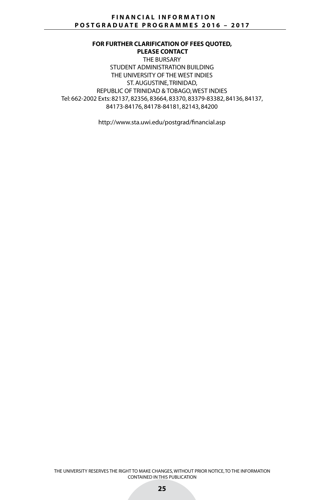**FOR FURTHER CLARIFICATION OF FEES QUOTED, PLEASE CONTACT** THE BURSARY STUDENT ADMINISTRATION BUILDING THE UNIVERSITY OF THE WEST INDIES ST. AUGUSTINE, TRINIDAD, REPUBLIC OF TRINIDAD & TOBAGO, WEST INDIES Tel: 662-2002 Exts: 82137, 82356, 83664, 83370, 83379-83382, 84136, 84137, 84173-84176, 84178-84181, 82143, 84200

http://www.sta.uwi.edu/postgrad/financial.asp